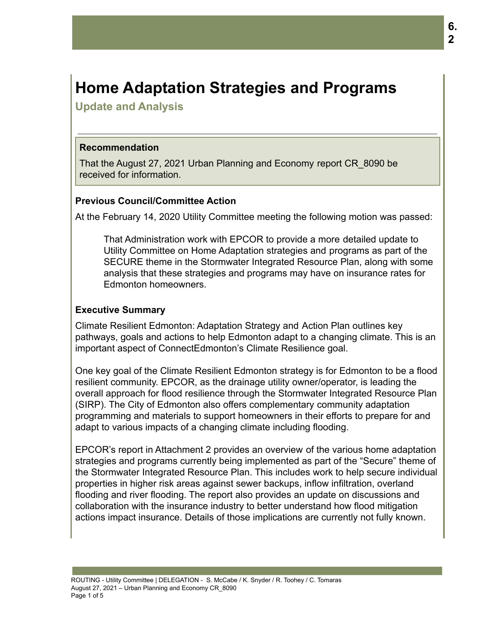# **Home Adaptation Strategies and Programs**

**Update and Analysis**

## **Recommendation**

That the August 27, 2021 Urban Planning and Economy report CR\_8090 be received for information.

# **Previous Council/Committee Action**

At the February 14, 2020 Utility Committee meeting the following motion was passed:

That Administration work with EPCOR to provide a more detailed update to Utility Committee on Home Adaptation strategies and programs as part of the SECURE theme in the Stormwater Integrated Resource Plan, along with some analysis that these strategies and programs may have on insurance rates for Edmonton homeowners.

# **Executive Summary**

Climate Resilient Edmonton: Adaptation Strategy and Action Plan outlines key pathways, goals and actions to help Edmonton adapt to a changing climate. This is an important aspect of ConnectEdmonton's Climate Resilience goal.

One key goal of the Climate Resilient Edmonton strategy is for Edmonton to be a flood resilient community. EPCOR, as the drainage utility owner/operator, is leading the overall approach for flood resilience through the Stormwater Integrated Resource Plan (SIRP). The City of Edmonton also offers complementary community adaptation programming and materials to support homeowners in their efforts to prepare for and adapt to various impacts of a changing climate including flooding.

EPCOR's report in Attachment 2 provides an overview of the various home adaptation strategies and programs currently being implemented as part of the "Secure" theme of the Stormwater Integrated Resource Plan. This includes work to help secure individual properties in higher risk areas against sewer backups, inflow infiltration, overland flooding and river flooding. The report also provides an update on discussions and collaboration with the insurance industry to better understand how flood mitigation actions impact insurance. Details of those implications are currently not fully known.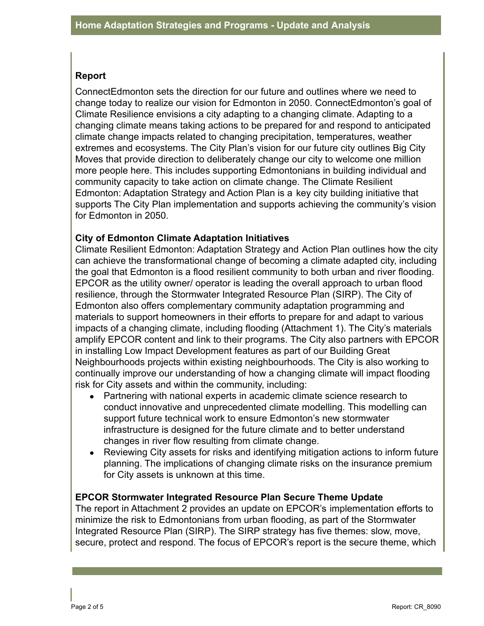## **Report**

ConnectEdmonton sets the direction for our future and outlines where we need to change today to realize our vision for Edmonton in 2050. ConnectEdmonton's goal of Climate Resilience envisions a city adapting to a changing climate. Adapting to a changing climate means taking actions to be prepared for and respond to anticipated climate change impacts related to changing precipitation, temperatures, weather extremes and ecosystems. The City Plan's vision for our future city outlines Big City Moves that provide direction to deliberately change our city to welcome one million more people here. This includes supporting Edmontonians in building individual and community capacity to take action on climate change. The Climate Resilient Edmonton: Adaptation Strategy and Action Plan is a key city building initiative that supports The City Plan implementation and supports achieving the community's vision for Edmonton in 2050.

# **City of Edmonton Climate Adaptation Initiatives**

Climate Resilient Edmonton: Adaptation Strategy and Action Plan outlines how the city can achieve the transformational change of becoming a climate adapted city, including the goal that Edmonton is a flood resilient community to both urban and river flooding. EPCOR as the utility owner/ operator is leading the overall approach to urban flood resilience, through the Stormwater Integrated Resource Plan (SIRP). The City of Edmonton also offers complementary community adaptation programming and materials to support homeowners in their efforts to prepare for and adapt to various impacts of a changing climate, including flooding (Attachment 1). The City's materials amplify EPCOR content and link to their programs. The City also partners with EPCOR in installing Low Impact Development features as part of our Building Great Neighbourhoods projects within existing neighbourhoods. The City is also working to continually improve our understanding of how a changing climate will impact flooding risk for City assets and within the community, including:

- Partnering with national experts in academic climate science research to conduct innovative and unprecedented climate modelling. This modelling can support future technical work to ensure Edmonton's new stormwater infrastructure is designed for the future climate and to better understand changes in river flow resulting from climate change.
- Reviewing City assets for risks and identifying mitigation actions to inform future planning. The implications of changing climate risks on the insurance premium for City assets is unknown at this time.

#### **EPCOR Stormwater Integrated Resource Plan Secure Theme Update**

The report in Attachment 2 provides an update on EPCOR's implementation efforts to minimize the risk to Edmontonians from urban flooding, as part of the Stormwater Integrated Resource Plan (SIRP). The SIRP strategy has five themes: slow, move, secure, protect and respond. The focus of EPCOR's report is the secure theme, which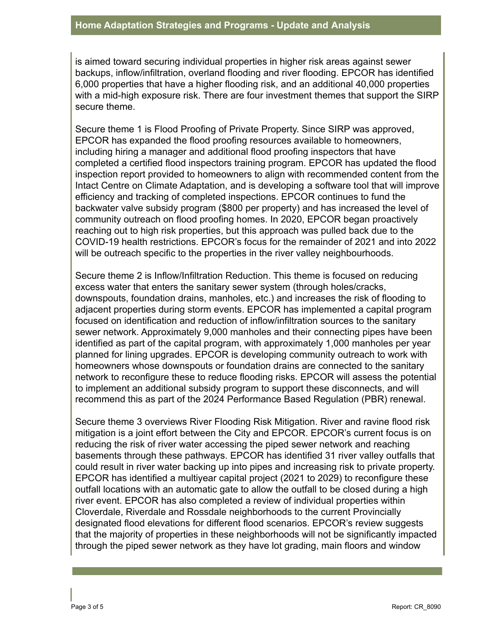is aimed toward securing individual properties in higher risk areas against sewer backups, inflow/infiltration, overland flooding and river flooding. EPCOR has identified 6,000 properties that have a higher flooding risk, and an additional 40,000 properties with a mid-high exposure risk. There are four investment themes that support the SIRP secure theme.

Secure theme 1 is Flood Proofing of Private Property. Since SIRP was approved, EPCOR has expanded the flood proofing resources available to homeowners, including hiring a manager and additional flood proofing inspectors that have completed a certified flood inspectors training program. EPCOR has updated the flood inspection report provided to homeowners to align with recommended content from the Intact Centre on Climate Adaptation, and is developing a software tool that will improve efficiency and tracking of completed inspections. EPCOR continues to fund the backwater valve subsidy program (\$800 per property) and has increased the level of community outreach on flood proofing homes. In 2020, EPCOR began proactively reaching out to high risk properties, but this approach was pulled back due to the COVID-19 health restrictions. EPCOR's focus for the remainder of 2021 and into 2022 will be outreach specific to the properties in the river valley neighbourhoods.

Secure theme 2 is Inflow/Infiltration Reduction. This theme is focused on reducing excess water that enters the sanitary sewer system (through holes/cracks, downspouts, foundation drains, manholes, etc.) and increases the risk of flooding to adjacent properties during storm events. EPCOR has implemented a capital program focused on identification and reduction of inflow/infiltration sources to the sanitary sewer network. Approximately 9,000 manholes and their connecting pipes have been identified as part of the capital program, with approximately 1,000 manholes per year planned for lining upgrades. EPCOR is developing community outreach to work with homeowners whose downspouts or foundation drains are connected to the sanitary network to reconfigure these to reduce flooding risks. EPCOR will assess the potential to implement an additional subsidy program to support these disconnects, and will recommend this as part of the 2024 Performance Based Regulation (PBR) renewal.

Secure theme 3 overviews River Flooding Risk Mitigation. River and ravine flood risk mitigation is a joint effort between the City and EPCOR. EPCOR's current focus is on reducing the risk of river water accessing the piped sewer network and reaching basements through these pathways. EPCOR has identified 31 river valley outfalls that could result in river water backing up into pipes and increasing risk to private property. EPCOR has identified a multiyear capital project (2021 to 2029) to reconfigure these outfall locations with an automatic gate to allow the outfall to be closed during a high river event. EPCOR has also completed a review of individual properties within Cloverdale, Riverdale and Rossdale neighborhoods to the current Provincially designated flood elevations for different flood scenarios. EPCOR's review suggests that the majority of properties in these neighborhoods will not be significantly impacted through the piped sewer network as they have lot grading, main floors and window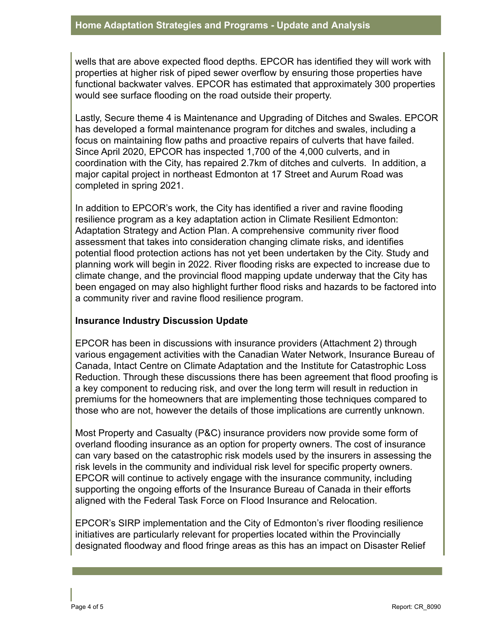wells that are above expected flood depths. EPCOR has identified they will work with properties at higher risk of piped sewer overflow by ensuring those properties have functional backwater valves. EPCOR has estimated that approximately 300 properties would see surface flooding on the road outside their property.

Lastly, Secure theme 4 is Maintenance and Upgrading of Ditches and Swales. EPCOR has developed a formal maintenance program for ditches and swales, including a focus on maintaining flow paths and proactive repairs of culverts that have failed. Since April 2020, EPCOR has inspected 1,700 of the 4,000 culverts, and in coordination with the City, has repaired 2.7km of ditches and culverts. In addition, a major capital project in northeast Edmonton at 17 Street and Aurum Road was completed in spring 2021.

In addition to EPCOR's work, the City has identified a river and ravine flooding resilience program as a key adaptation action in Climate Resilient Edmonton: Adaptation Strategy and Action Plan. A comprehensive community river flood assessment that takes into consideration changing climate risks, and identifies potential flood protection actions has not yet been undertaken by the City. Study and planning work will begin in 2022. River flooding risks are expected to increase due to climate change, and the provincial flood mapping update underway that the City has been engaged on may also highlight further flood risks and hazards to be factored into a community river and ravine flood resilience program.

# **Insurance Industry Discussion Update**

EPCOR has been in discussions with insurance providers (Attachment 2) through various engagement activities with the Canadian Water Network, Insurance Bureau of Canada, Intact Centre on Climate Adaptation and the Institute for Catastrophic Loss Reduction. Through these discussions there has been agreement that flood proofing is a key component to reducing risk, and over the long term will result in reduction in premiums for the homeowners that are implementing those techniques compared to those who are not, however the details of those implications are currently unknown.

Most Property and Casualty (P&C) insurance providers now provide some form of overland flooding insurance as an option for property owners. The cost of insurance can vary based on the catastrophic risk models used by the insurers in assessing the risk levels in the community and individual risk level for specific property owners. EPCOR will continue to actively engage with the insurance community, including supporting the ongoing efforts of the Insurance Bureau of Canada in their efforts aligned with the Federal Task Force on Flood Insurance and Relocation.

EPCOR's SIRP implementation and the City of Edmonton's river flooding resilience initiatives are particularly relevant for properties located within the Provincially designated floodway and flood fringe areas as this has an impact on Disaster Relief